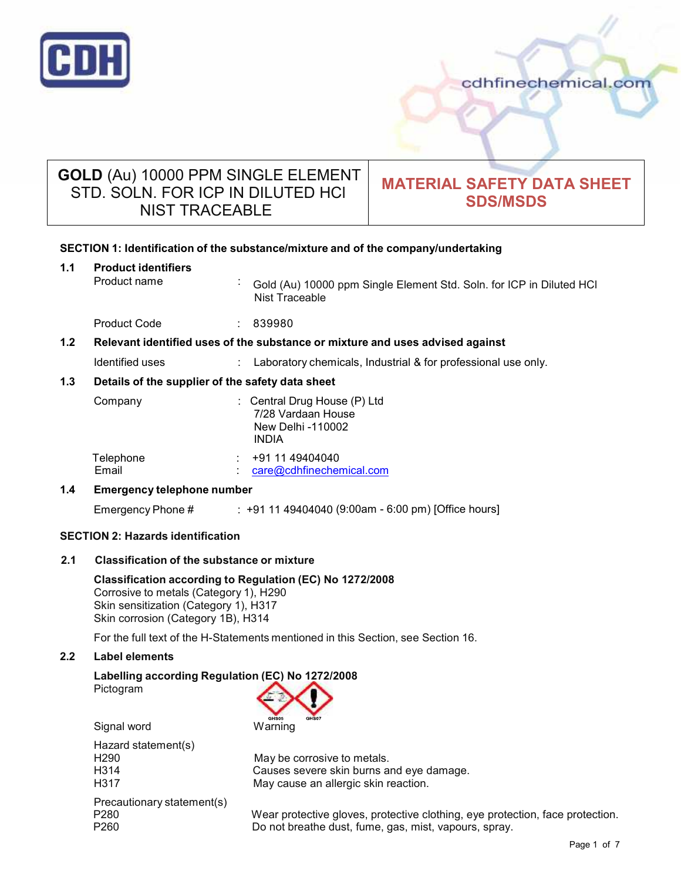

# **GOLD** (Au) 10000 PPM SINGLE ELEMENT STD. SOLN. FOR ICP IN DILUTED HCl NIST TRACEABLE

# **MATERIAL SAFETY DATA SHEET SDS/MSDS**

# **SECTION 1: Identification of the substance/mixture and of the company/undertaking 1.1 Product identifiers** Product name : Gold (Au) 10000 ppm Single Element Std. Soln. for ICP in Diluted HCl Nist Traceable Product Code : 839980 **1.2 Relevant identified uses of the substance ormixture and uses advised against** Identified uses : Laboratory chemicals, Industrial & for professional use only. **1.3 Details of the supplier of the safety data sheet** Company : Central Drug House (P) Ltd 7/28 Vardaan House New Delhi -110002 INDIA Telephone : +91 11 49404040 Email : care@cdhfinechemical.com **1.4 Emergency telephone number** Emergency Phone # : +91 11 49404040 (9:00am - 6:00 pm) [Office hours] **SECTION 2: Hazards identification**

# **2.1 Classification of the substance ormixture**

**Classification according to Regulation (EC) No 1272/2008** Corrosive to metals (Category 1), H290 Skin sensitization (Category 1), H317 Skin corrosion (Category 1B), H314

For the full text of the H-Statements mentioned in this Section, see Section 16.

# **2.2 Label elements**

# **Labelling according Regulation (EC) No 1272/2008** Pictogram

Signal word Warning Hazard statement(s) H290 May be corrosive to metals.<br>H314 Causes severe skin burns at Causes severe skin burns and eye damage. H317 May cause an allergic skin reaction. Precautionary statement(s) P280 Wear protective gloves, protective clothing, eye protection, face protection.<br>P260 Do not breathe dust, fume, gas, mist, vapours, spray. Do not breathe dust, fume, gas, mist, vapours, spray.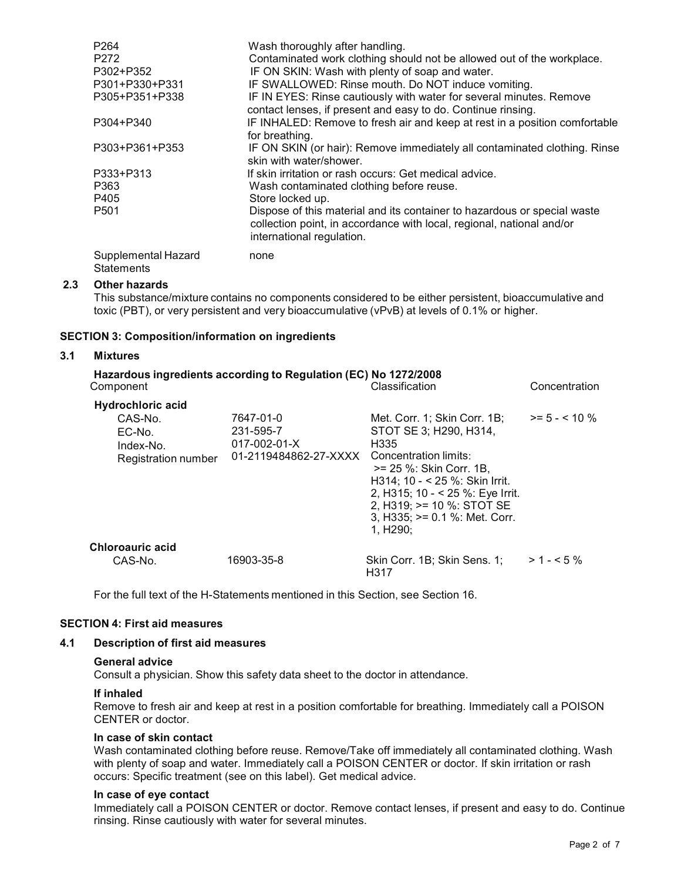| P <sub>264</sub><br>P272<br>P302+P352<br>P301+P330+P331 | Wash thoroughly after handling.<br>Contaminated work clothing should not be allowed out of the workplace.<br>IF ON SKIN: Wash with plenty of soap and water.<br>IF SWALLOWED: Rinse mouth. Do NOT induce vomiting. |
|---------------------------------------------------------|--------------------------------------------------------------------------------------------------------------------------------------------------------------------------------------------------------------------|
| P305+P351+P338                                          | IF IN EYES: Rinse cautiously with water for several minutes. Remove<br>contact lenses, if present and easy to do. Continue rinsing.                                                                                |
| P304+P340                                               | IF INHALED: Remove to fresh air and keep at rest in a position comfortable<br>for breathing.                                                                                                                       |
| P303+P361+P353                                          | IF ON SKIN (or hair): Remove immediately all contaminated clothing. Rinse<br>skin with water/shower.                                                                                                               |
| P333+P313                                               | If skin irritation or rash occurs: Get medical advice.                                                                                                                                                             |
| P363                                                    | Wash contaminated clothing before reuse.                                                                                                                                                                           |
| P405                                                    | Store locked up.                                                                                                                                                                                                   |
| P <sub>501</sub>                                        | Dispose of this material and its container to hazardous or special waste<br>collection point, in accordance with local, regional, national and/or<br>international regulation.                                     |
| Supplemental Hazard<br><b>Statements</b>                | none                                                                                                                                                                                                               |

# **2.3 Other hazards**

This substance/mixture contains no components considered to be either persistent, bioaccumulative and toxic (PBT), or very persistent and very bioaccumulative (vPvB) at levels of 0.1% or higher.

# **SECTION 3: Composition/information on ingredients**

#### **3.1 Mixtures**

| Component                                                                         | Hazardous ingredients according to Regulation (EC) No 1272/2008         | Classification                                                                                                                                                                                                                                                             | Concentration    |
|-----------------------------------------------------------------------------------|-------------------------------------------------------------------------|----------------------------------------------------------------------------------------------------------------------------------------------------------------------------------------------------------------------------------------------------------------------------|------------------|
| <b>Hydrochloric acid</b><br>CAS-No.<br>EC-No.<br>Index-No.<br>Registration number | 7647-01-0<br>231-595-7<br>$017 - 002 - 01 - X$<br>01-2119484862-27-XXXX | Met. Corr. 1; Skin Corr. 1B;<br>STOT SE 3; H290, H314,<br>H335<br>Concentration limits:<br>>= 25 %: Skin Corr, 1B.<br>$H314$ ; 10 - < 25 %: Skin Irrit.<br>2, H315; 10 - < 25 %: Eye Irrit.<br>2, H319; >= 10 %: STOT SE<br>3, H335; $>= 0.1$ %: Met. Corr.<br>1, $H290$ ; | $>= 5 - < 10 \%$ |
| Chloroauric acid<br>CAS-No.                                                       | 16903-35-8                                                              | Skin Corr. 1B; Skin Sens. 1;<br>H317                                                                                                                                                                                                                                       | $>1 - 5\%$       |

For the full text of the H-Statements mentioned in this Section, see Section 16.

# **SECTION 4: First aid measures**

### **4.1 Description of first aid measures**

#### **General advice**

Consult a physician. Show this safety data sheet to the doctor in attendance.

#### **If inhaled**

Remove to fresh air and keep at rest in a position comfortable for breathing. Immediately call a POISON CENTER or doctor.

### **In case of skin contact**

Wash contaminated clothing before reuse. Remove/Take off immediately all contaminated clothing. Wash with plenty of soap and water. Immediately call a POISON CENTER or doctor. If skin irritation or rash occurs: Specific treatment (see on this label). Get medical advice.

#### **In case of eye contact**

Immediately call a POISON CENTER or doctor. Remove contact lenses, if present and easy to do. Continue rinsing. Rinse cautiously with water for several minutes.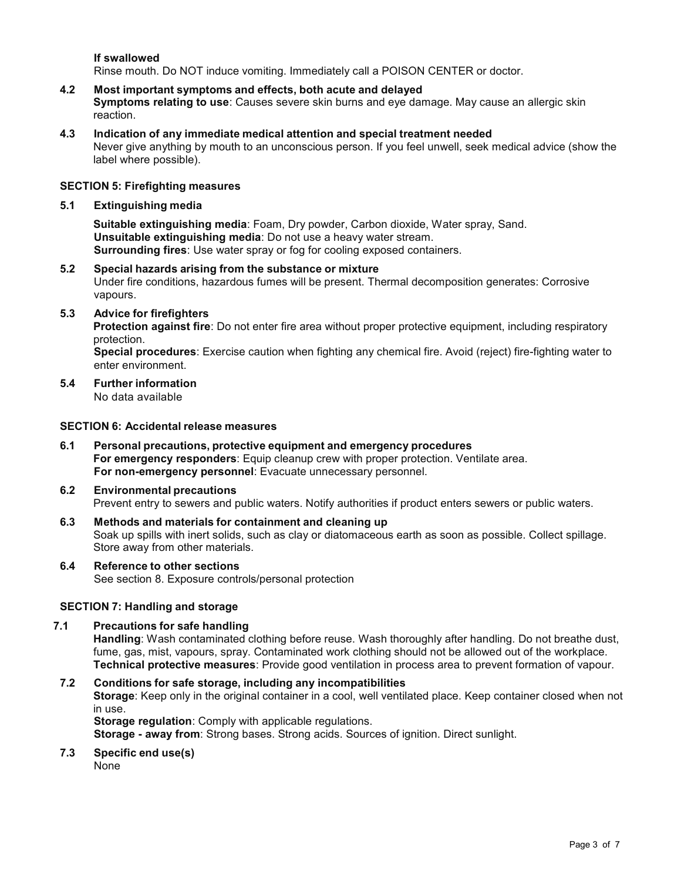**If swallowed**

Rinse mouth. Do NOT induce vomiting. Immediately call a POISON CENTER or doctor.

- **4.2 Most important symptoms and effects, both acute and delayed Symptoms relating to use**: Causes severe skin burns and eye damage. May cause an allergic skin reaction.
- **4.3 Indication of any immediate medical attention and special treatment needed** Never give anything by mouth to an unconscious person. If you feel unwell, seek medical advice (show the label where possible).

# **SECTION 5: Firefighting measures**

# **5.1 Extinguishing media**

**Suitable extinguishing media**: Foam, Dry powder, Carbon dioxide, Water spray, Sand. **Unsuitable extinguishing media**: Do not use a heavy water stream. **Surrounding fires**: Use water spray or fog for cooling exposed containers.

- **5.2 Special hazards arising from the substance ormixture** Under fire conditions, hazardous fumes will be present. Thermal decomposition generates: Corrosive vapours.
- **5.3 Advice for firefighters**

**Protection against fire**: Do not enter fire area without proper protective equipment, including respiratory protection.

**Special procedures**: Exercise caution when fighting any chemical fire. Avoid (reject) fire-fighting water to enter environment.

**5.4 Further information** No data available

# **SECTION 6: Accidental release measures**

**6.1 Personal precautions, protective equipment and emergency procedures For emergency responders**: Equip cleanup crew with proper protection. Ventilate area. **For non-emergency personnel**: Evacuate unnecessary personnel.

#### **6.2 Environmental precautions**

Prevent entry to sewers and public waters. Notify authorities if product enters sewers or public waters.

- **6.3 Methods and materials for containment and cleaning up** Soak up spills with inert solids, such as clay or diatomaceous earth as soon as possible. Collect spillage. Store away from other materials.
- **6.4 Reference to other sections** See section 8. Exposure controls/personal protection

# **SECTION 7: Handling and storage**

# **7.1 Precautions for safe handling**

**Handling**: Wash contaminated clothing before reuse. Wash thoroughly after handling. Do not breathe dust, fume, gas, mist, vapours, spray. Contaminated work clothing should not be allowed out of the workplace. **Technical protective measures**: Provide good ventilation in process area to prevent formation of vapour.

# **7.2 Conditions for safe storage, including any incompatibilities**

**Storage**: Keep only in the original container in a cool, well ventilated place. Keep container closed when not in use.

**Storage regulation**: Comply with applicable regulations.

**Storage - away from**: Strong bases. Strong acids. Sources of ignition. Direct sunlight.

**7.3 Specific end use(s)**

None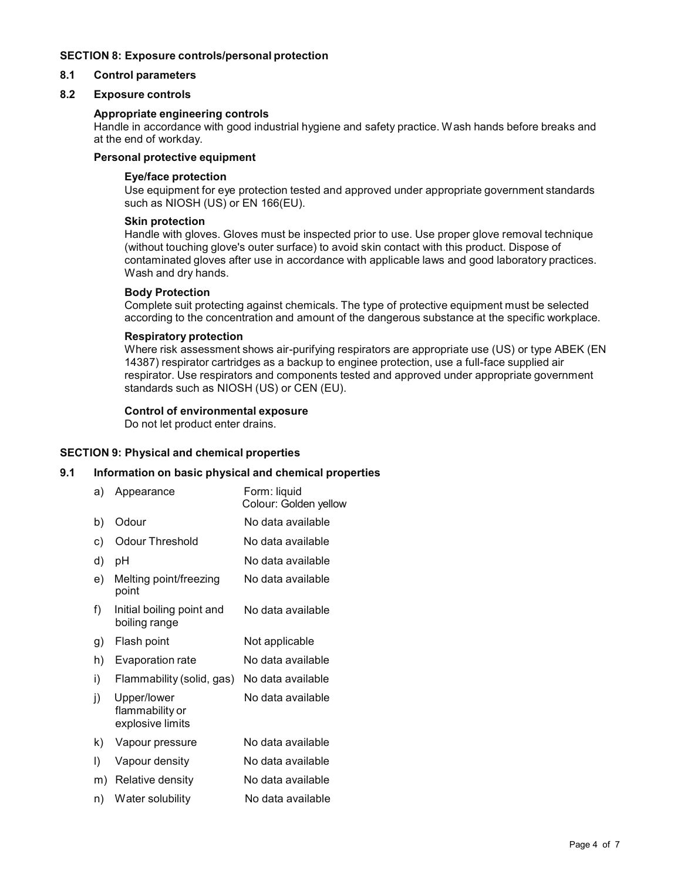# **SECTION 8: Exposure controls/personal protection**

# **8.1 Control parameters**

# **8.2 Exposure controls**

### **Appropriate engineering controls**

Handle in accordance with good industrial hygiene and safety practice. Wash hands before breaks and at the end of workday.

# **Personal protective equipment**

### **Eye/face protection**

Use equipment for eye protection tested and approved under appropriate government standards such as NIOSH (US) or EN 166(EU).

### **Skin protection**

Handle with gloves. Gloves must be inspected prior to use. Use proper glove removal technique (without touching glove's outer surface) to avoid skin contact with this product. Dispose of contaminated gloves after use in accordance with applicable laws and good laboratory practices. Wash and dry hands.

#### **Body Protection**

Complete suit protecting against chemicals. The type of protective equipment must be selected according to the concentration and amount of the dangerous substance at the specific workplace.

#### **Respiratory protection**

Where risk assessment shows air-purifying respirators are appropriate use (US) or type ABEK (EN 14387) respirator cartridges as a backup to enginee protection, use a full-face supplied air respirator. Use respirators and components tested and approved under appropriate government standards such as NIOSH (US) or CEN (EU).

# **Control of environmental exposure**

Do not let product enter drains.

# **SECTION 9: Physical and chemical properties**

# **9.1 Information on basic physical and chemical properties**

a) Appearance Form: liquid Colour: Golden yellow b) Odour No data available c) Odour Threshold No data available d) pH No data available e) Melting point/freezing point f) Initial boiling point and boiling range No data available No data available g) Flash point Not applicable h) Evaporation rate No data available i) Flammability (solid, gas) No data available j) Upper/lower flammability or explosive limits No data available k) Vapour pressure No data available l) Vapour density No data available m) Relative density No data available n) Water solubility No data available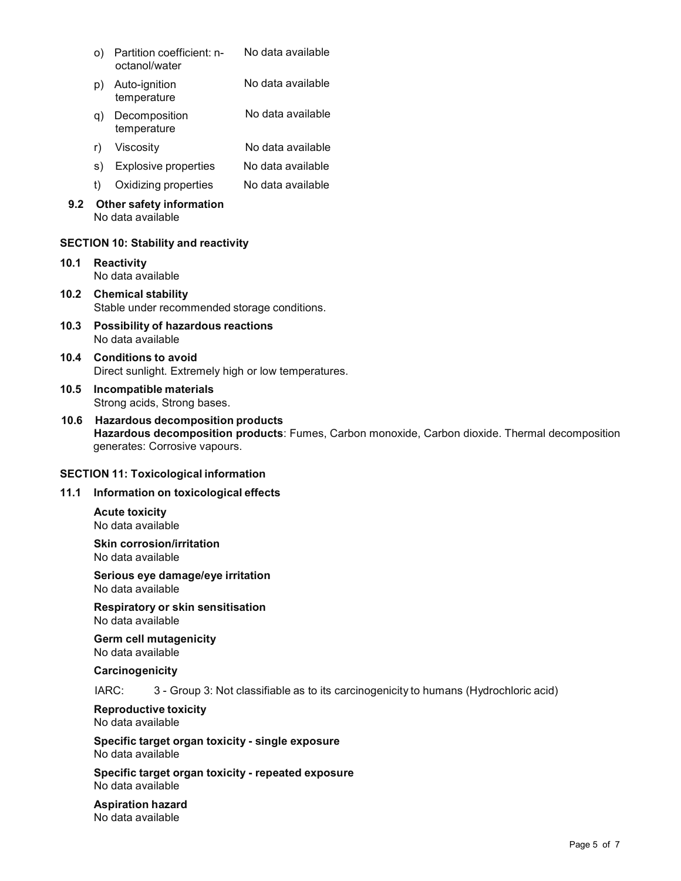| o) Partition coefficient: n- | No data available |  |
|------------------------------|-------------------|--|
| octanol/water                |                   |  |

- p) Auto-ignition temperature No data available
- q) Decomposition temperature No data available
- r) Viscosity No data available
- s) Explosive properties No data available
- t) Oxidizing properties No data available

# **9.2 Other safety information** No data available

# **SECTION 10: Stability and reactivity**

- **10.1 Reactivity** No data available
- **10.2 Chemical stability** Stable under recommended storage conditions.
- **10.3 Possibility of hazardous reactions** No data available
- **10.4 Conditions to avoid** Direct sunlight. Extremely high or low temperatures.
- **10.5 Incompatible materials** Strong acids, Strong bases.
- **10.6 Hazardous decomposition products Hazardous decomposition products**: Fumes, Carbon monoxide, Carbon dioxide. Thermal decomposition generates: Corrosive vapours.

# **SECTION 11: Toxicological information**

# **11.1 Information on toxicological effects**

**Acute toxicity** No data available

**Skin corrosion/irritation** No data available

**Serious eye damage/eye irritation** No data available

**Respiratory orskin sensitisation** No data available

**Germ cell mutagenicity** No data available

**Carcinogenicity**

IARC: 3 - Group 3: Not classifiable as to its carcinogenicity to humans (Hydrochloric acid)

**Reproductive toxicity** No data available

**Specific target organ toxicity - single exposure** No data available

**Specific target organ toxicity - repeated exposure** No data available

**Aspiration hazard** No data available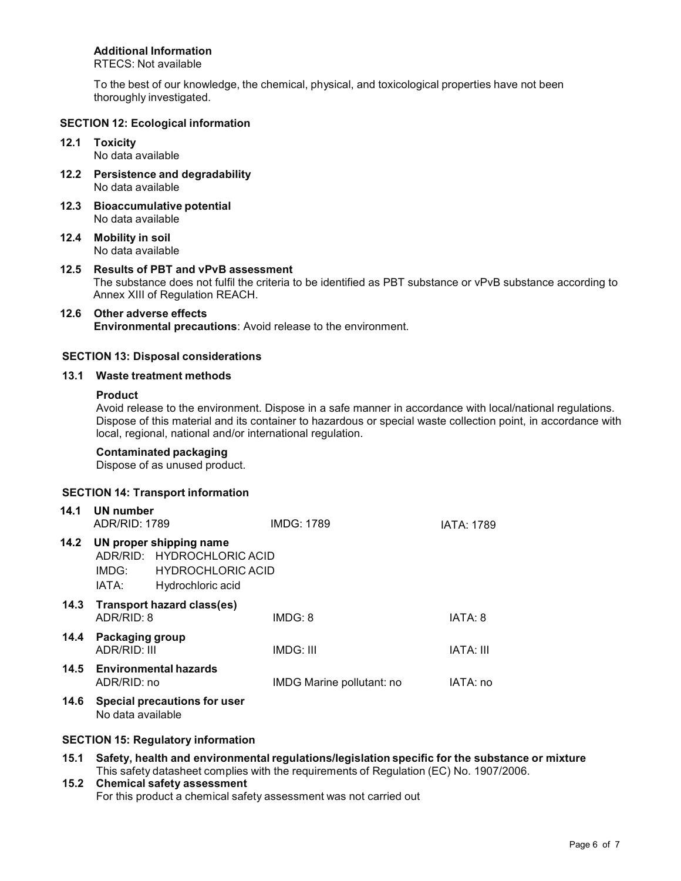# **Additional Information**

RTECS: Not available

To the best of our knowledge, the chemical, physical, and toxicological properties have not been thoroughly investigated.

# **SECTION 12: Ecological information**

**12.1 Toxicity** No data available

**12.2 Persistence and degradability** No data available

**12.3 Bioaccumulative potential** No data available

**12.4 Mobility in soil** No data available

**12.5 Results of PBT and vPvB assessment** The substance does not fulfil the criteria to be identified as PBT substance or vPvB substance according to Annex XIII of Regulation REACH.

#### **12.6 Other adverse effects Environmental precautions**: Avoid release to the environment.

# **SECTION 13: Disposal considerations**

### **13.1 Waste treatment methods**

# **Product**

Avoid release to the environment. Dispose in a safe manner in accordance with local/national regulations. Dispose of this material and its container to hazardous or special waste collection point, in accordance with local, regional, national and/or international regulation.

# **Contaminated packaging**

Dispose of as unused product.

# **SECTION 14: Transport information**

| 14.1 | UN number<br>ADR/RID: 1789                |                                                                                                        | <b>IMDG: 1789</b>         | <b>IATA: 1789</b> |  |
|------|-------------------------------------------|--------------------------------------------------------------------------------------------------------|---------------------------|-------------------|--|
| 14.2 | IMDG:<br>IATA:                            | UN proper shipping name<br>ADR/RID: HYDROCHLORIC ACID<br><b>HYDROCHLORIC ACID</b><br>Hydrochloric acid |                           |                   |  |
| 14.3 | Transport hazard class(es)<br>ADR/RID: 8  |                                                                                                        | IMDG: 8                   | IATA: 8           |  |
| 14.4 | Packaging group<br>ADR/RID: III           |                                                                                                        | <b>IMDG: III</b>          | IATA: III         |  |
|      | 14.5 Environmental hazards<br>ADR/RID: no |                                                                                                        | IMDG Marine pollutant: no | IATA: no          |  |
| 14.6 | No data available                         | Special precautions for user                                                                           |                           |                   |  |

# **SECTION 15: Regulatory information**

**15.1 Safety, health and environmental regulations/legislation specific for the substance ormixture** This safety datasheet complies with the requirements of Regulation (EC) No. 1907/2006.

# **15.2 Chemical safety assessment** For this product a chemical safety assessment was not carried out